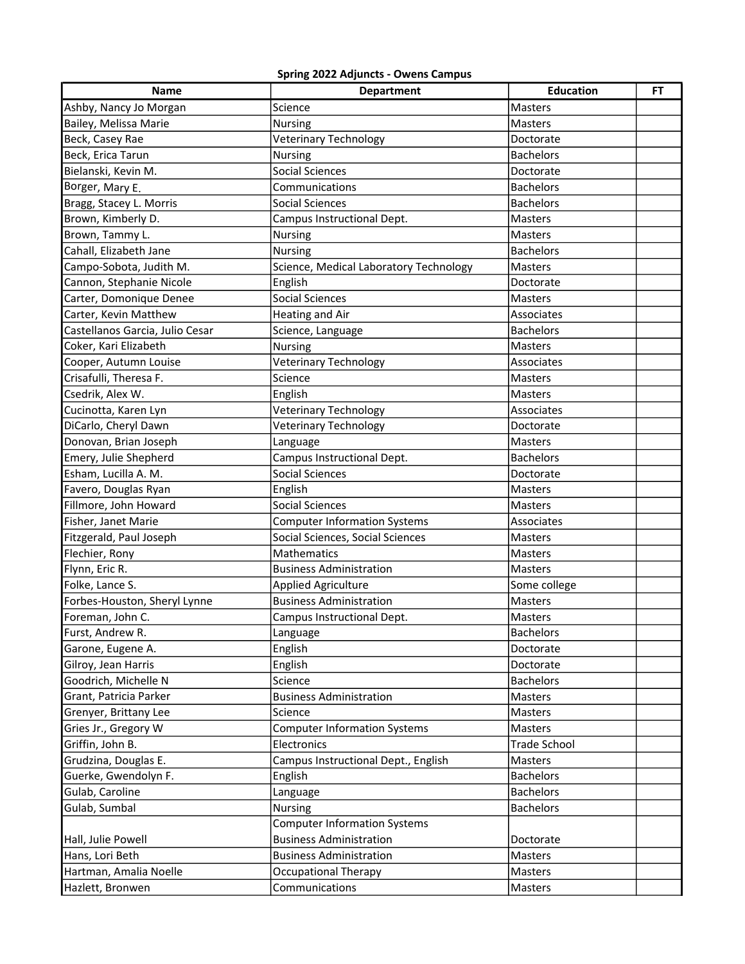## Spring 2022 Adjuncts- Owens Campus

| Name                            | <b>Department</b>                      | <b>Education</b>    | FT |
|---------------------------------|----------------------------------------|---------------------|----|
| Ashby, Nancy Jo Morgan          | Science                                | <b>Masters</b>      |    |
| Bailey, Melissa Marie           | Nursing                                | Masters             |    |
| Beck, Casey Rae                 | <b>Veterinary Technology</b>           | Doctorate           |    |
| Beck, Erica Tarun               | Nursing                                | <b>Bachelors</b>    |    |
| Bielanski, Kevin M.             | <b>Social Sciences</b>                 | Doctorate           |    |
| Borger, Mary E.                 | Communications                         | <b>Bachelors</b>    |    |
| Bragg, Stacey L. Morris         | <b>Social Sciences</b>                 | <b>Bachelors</b>    |    |
| Brown, Kimberly D.              | Campus Instructional Dept.             | Masters             |    |
| Brown, Tammy L.                 | <b>Nursing</b>                         | Masters             |    |
| Cahall, Elizabeth Jane          | <b>Nursing</b>                         | <b>Bachelors</b>    |    |
| Campo-Sobota, Judith M.         | Science, Medical Laboratory Technology | <b>Masters</b>      |    |
| Cannon, Stephanie Nicole        | English                                | Doctorate           |    |
| Carter, Domonique Denee         | <b>Social Sciences</b>                 | Masters             |    |
| Carter, Kevin Matthew           | Heating and Air                        | Associates          |    |
| Castellanos Garcia, Julio Cesar | Science, Language                      | <b>Bachelors</b>    |    |
| Coker, Kari Elizabeth           | <b>Nursing</b>                         | Masters             |    |
| Cooper, Autumn Louise           | <b>Veterinary Technology</b>           | Associates          |    |
| Crisafulli, Theresa F.          | Science                                | <b>Masters</b>      |    |
| Csedrik, Alex W.                | English                                | <b>Masters</b>      |    |
| Cucinotta, Karen Lyn            | Veterinary Technology                  | Associates          |    |
| DiCarlo, Cheryl Dawn            | Veterinary Technology                  | Doctorate           |    |
| Donovan, Brian Joseph           | Language                               | <b>Masters</b>      |    |
| Emery, Julie Shepherd           | Campus Instructional Dept.             | <b>Bachelors</b>    |    |
| Esham, Lucilla A. M.            | <b>Social Sciences</b>                 | Doctorate           |    |
| Favero, Douglas Ryan            | English                                | <b>Masters</b>      |    |
| Fillmore, John Howard           | Social Sciences                        | Masters             |    |
| Fisher, Janet Marie             | <b>Computer Information Systems</b>    | Associates          |    |
| Fitzgerald, Paul Joseph         | Social Sciences, Social Sciences       | <b>Masters</b>      |    |
| Flechier, Rony                  | Mathematics                            | <b>Masters</b>      |    |
| Flynn, Eric R.                  | <b>Business Administration</b>         | Masters             |    |
| Folke, Lance S.                 | <b>Applied Agriculture</b>             | Some college        |    |
| Forbes-Houston, Sheryl Lynne    | <b>Business Administration</b>         | Masters             |    |
| Foreman, John C.                | Campus Instructional Dept.             | <b>Masters</b>      |    |
| Furst, Andrew R.                | Language                               | <b>Bachelors</b>    |    |
| Garone, Eugene A.               | English                                | Doctorate           |    |
| Gilroy, Jean Harris             | English                                | Doctorate           |    |
| Goodrich, Michelle N            | Science                                | <b>Bachelors</b>    |    |
| Grant, Patricia Parker          | <b>Business Administration</b>         | Masters             |    |
| Grenyer, Brittany Lee           | Science                                | Masters             |    |
| Gries Jr., Gregory W            | <b>Computer Information Systems</b>    | Masters             |    |
| Griffin, John B.                | Electronics                            | <b>Trade School</b> |    |
| Grudzina, Douglas E.            | Campus Instructional Dept., English    | Masters             |    |
| Guerke, Gwendolyn F.            | English                                | <b>Bachelors</b>    |    |
| Gulab, Caroline                 | Language                               | <b>Bachelors</b>    |    |
| Gulab, Sumbal                   | <b>Nursing</b>                         | <b>Bachelors</b>    |    |
|                                 | <b>Computer Information Systems</b>    |                     |    |
| Hall, Julie Powell              | <b>Business Administration</b>         | Doctorate           |    |
| Hans, Lori Beth                 | <b>Business Administration</b>         | Masters             |    |
| Hartman, Amalia Noelle          | <b>Occupational Therapy</b>            | Masters             |    |
| Hazlett, Bronwen                | Communications                         | Masters             |    |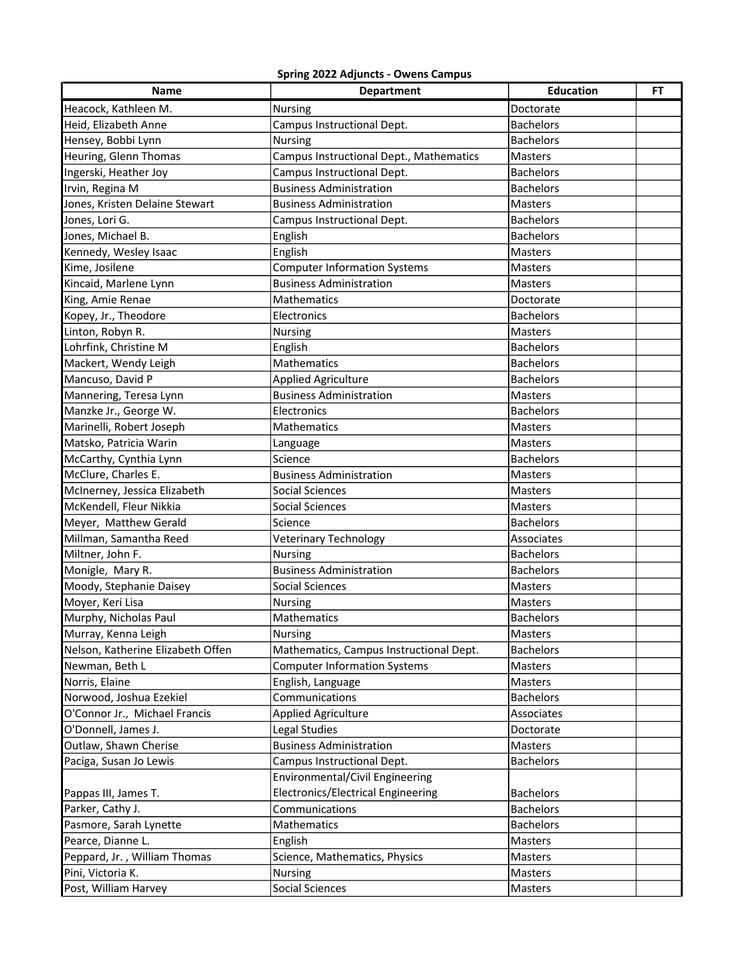## Spring 2022 Adjuncts- Owens Campus

| <b>Name</b>                       | <b>Department</b>                       | <b>Education</b> | FT |
|-----------------------------------|-----------------------------------------|------------------|----|
| Heacock, Kathleen M.              | Nursing                                 | Doctorate        |    |
| Heid, Elizabeth Anne              | Campus Instructional Dept.              | <b>Bachelors</b> |    |
| Hensey, Bobbi Lynn                | Nursing                                 | <b>Bachelors</b> |    |
| Heuring, Glenn Thomas             | Campus Instructional Dept., Mathematics | <b>Masters</b>   |    |
| Ingerski, Heather Joy             | Campus Instructional Dept.              | <b>Bachelors</b> |    |
| Irvin, Regina M                   | <b>Business Administration</b>          | <b>Bachelors</b> |    |
| Jones, Kristen Delaine Stewart    | <b>Business Administration</b>          | Masters          |    |
| Jones, Lori G.                    | Campus Instructional Dept.              | <b>Bachelors</b> |    |
| Jones, Michael B.                 | English                                 | <b>Bachelors</b> |    |
| Kennedy, Wesley Isaac             | English                                 | <b>Masters</b>   |    |
| Kime, Josilene                    | <b>Computer Information Systems</b>     | Masters          |    |
| Kincaid, Marlene Lynn             | <b>Business Administration</b>          | Masters          |    |
| King, Amie Renae                  | Mathematics                             | Doctorate        |    |
| Kopey, Jr., Theodore              | Electronics                             | <b>Bachelors</b> |    |
| Linton, Robyn R.                  | Nursing                                 | <b>Masters</b>   |    |
| Lohrfink, Christine M             | English                                 | <b>Bachelors</b> |    |
| Mackert, Wendy Leigh              | Mathematics                             | <b>Bachelors</b> |    |
| Mancuso, David P                  | <b>Applied Agriculture</b>              | <b>Bachelors</b> |    |
| Mannering, Teresa Lynn            | <b>Business Administration</b>          | Masters          |    |
| Manzke Jr., George W.             | Electronics                             | <b>Bachelors</b> |    |
| Marinelli, Robert Joseph          | Mathematics                             | <b>Masters</b>   |    |
| Matsko, Patricia Warin            | Language                                | Masters          |    |
| McCarthy, Cynthia Lynn            | Science                                 | <b>Bachelors</b> |    |
| McClure, Charles E.               | <b>Business Administration</b>          | Masters          |    |
| McInerney, Jessica Elizabeth      | <b>Social Sciences</b>                  | Masters          |    |
| McKendell, Fleur Nikkia           | <b>Social Sciences</b>                  | <b>Masters</b>   |    |
| Meyer, Matthew Gerald             | Science                                 | <b>Bachelors</b> |    |
| Millman, Samantha Reed            | <b>Veterinary Technology</b>            | Associates       |    |
| Miltner, John F.                  | <b>Nursing</b>                          | <b>Bachelors</b> |    |
| Monigle, Mary R.                  | <b>Business Administration</b>          | <b>Bachelors</b> |    |
| Moody, Stephanie Daisey           | <b>Social Sciences</b>                  | Masters          |    |
| Moyer, Keri Lisa                  | Nursing                                 | <b>Masters</b>   |    |
| Murphy, Nicholas Paul             | Mathematics                             | <b>Bachelors</b> |    |
| Murray, Kenna Leigh               | <b>Nursing</b>                          | Masters          |    |
| Nelson, Katherine Elizabeth Offen | Mathematics, Campus Instructional Dept. | <b>Bachelors</b> |    |
| Newman, Beth L                    | <b>Computer Information Systems</b>     | Masters          |    |
| Norris, Elaine                    | English, Language                       | Masters          |    |
| Norwood, Joshua Ezekiel           | Communications                          | <b>Bachelors</b> |    |
| O'Connor Jr., Michael Francis     | <b>Applied Agriculture</b>              | Associates       |    |
| O'Donnell, James J.               | Legal Studies                           | Doctorate        |    |
| Outlaw, Shawn Cherise             | <b>Business Administration</b>          | Masters          |    |
| Paciga, Susan Jo Lewis            | Campus Instructional Dept.              | <b>Bachelors</b> |    |
|                                   | Environmental/Civil Engineering         |                  |    |
| Pappas III, James T.              | Electronics/Electrical Engineering      | <b>Bachelors</b> |    |
| Parker, Cathy J.                  | Communications                          | <b>Bachelors</b> |    |
| Pasmore, Sarah Lynette            | Mathematics                             | <b>Bachelors</b> |    |
| Pearce, Dianne L.                 | English                                 | Masters          |    |
| Peppard, Jr., William Thomas      | Science, Mathematics, Physics           | Masters          |    |
| Pini, Victoria K.                 | Nursing                                 | Masters          |    |
| Post, William Harvey              | <b>Social Sciences</b>                  | Masters          |    |